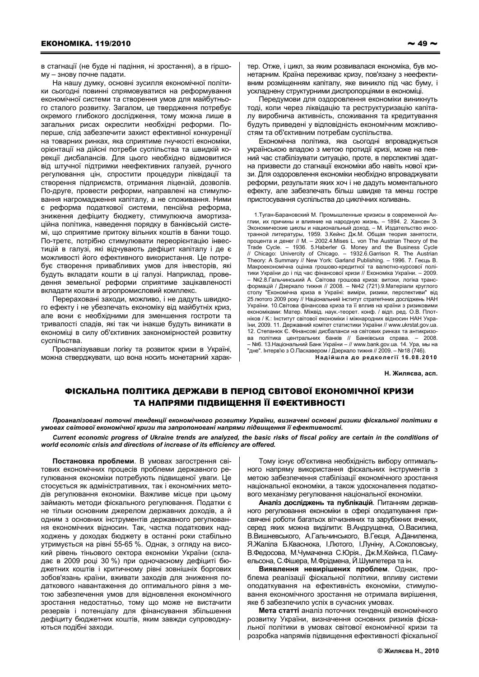в стагнації (не буде ні падіння, ні зростання), а в гіршому - знову почне падати.

На нашу думку, основні зусилля економічної політики сьогодні повинні спрямовуватися на реформування економічної системи та створення умов для майбутнього сталого розвитку. Загалом, це твердження потребує окремого глибокого дослідження, тому можна лише в загальних рисах окреслити необхідні реформи. Поперше, слід забезпечити захист ефективної конкуренції на товарних ринках, яка сприятиме гнучкості економіки, орієнтації на дійсні потреби суспільства та швидкій корекції дисбалансів. Для цього необхідно відмовитися від штучної підтримки неефективних галузей, ручного регулювання цін, спростити процедури ліквідації та створення підприємств, отримання ліцензій, дозволів. По-друге, провести реформи, направлені на стимулювання нагромадження капіталу, а не споживання. Ними є реформа податкової системи, пенсійна реформа, зниження дефіциту бюджету, стимулююча амортизаційна політика, наведення порядку в банківській системі, що сприятиме притоку вільних коштів в банки тощо. По-третє, потрібно стимулювати переорієнтацію інвестицій в галузі, які відчувають дефіцит капіталу і де є можливості його ефективного використання. Це потребує створення привабливих умов для інвесторів, які будуть вкладати кошти в ці галузі. Наприклад, проведення земельної реформи сприятиме зацікавленості вкладати кошти в агропромисловий комплекс.

Перераховані заходи, можливо, і не дадуть швидкого ефекту і не убезпечать економіку від майбутніх криз, але вони є необхідними для зменшення гостроти та тривалості спадів, які так чи інакше будуть виникати в економіці в силу об'єктивних закономірностей розвитку суспільства

Проаналізувавши логіку та розвиток кризи в Україні, можна стверджувати, що вона носить монетарний характер. Отже, і цикл, за яким розвивалася економіка, був монетарним. Країна переживає кризу, пов'язану з неефективним розміщенням капіталу, яке виникло під час буму, і ускладнену структурними диспропорціями в економіці.

Передумови для оздоровлення економіки виникнуть тоді, коли через ліквідацію та реструктуризацію капіталу виробнича активність, споживання та кредитування будуть приведені у відповідність економічним можливостям та об'єктивним потребам суспільства.

Економічна політика, яка сьогодні впроваджується українською владою з метою протидії кризі, може на певний час стабілізувати ситуацію, проте, в перспективі здатна призвести до стагнації економіки або навіть нової кризи. Для оздоровлення економіки необхідно впроваджувати реформи, результати яких хоч і не дадуть моментального ефекту, але забезпечать більш швидке та менш гостре пристосування суспільства до циклічних коливань.

1. Туган-Барановский М. Промышленные кризисы в современной Англии, их причины и влияние на народную жизнь. - 1894. 2. Хансен Э. Экономические циклы и национальный доход. - М. Издательство иностранной литературы, 1959. 3. Кейнс Дж.М. Общая теория занятости, процента и денег // М. - 2002.4. Mises L. von The Austrian Theory of the Trade Cycle. – 1936. 5. Haberler G. Money and the Business Cycle // Chicago: Univercity of Chicago. – 1932.6. Garrison R. The Austrian Theory: A Summary // New York: Garland Publishing. – 1996. 7. Геець В. Макроекономічна оцінка грошово-кредитної та валютно-курсової політики України до і під час фінансової кризи // Економіка України. - 2009. №2.8. Гальчинський А. Світова грошова криза: витоки, логіка трансформацій / Дзеркало тижня // 2008. - №42 (721).9. Матеріали круглого столу "Економічна криза в Україні: виміри, ризики, перспективи" від 25 лютого 2009 року // Національний інститут стратегічних досліджень НАН України, 10 Світова фінансова криза та її вплив на країни з ризиковими економіками: Матер. Міжвіл, наук.-теорет, конф. / відп. ред. О.В. Плотніков / К.: Інститут світової економіки і міжнародних відносин НАН України, 2009. 11. Державний комітет статистики України // www.ukrstat.gov.ua. 12. Степанюк Є. Фінансові дисбаланси на світових ринках та антикризова політика центральних банків // Банківська справа. -2008 – №6. 13.Національний Банк України – // www.bank.gov.ua. 14. Ура, мы на "лне" Інтерв'ю з О Пасхавером / Лзеркало тижня // 2009 = №18 (746) Надійшла до редколегії 16.08.2010

## Н. Жиляєва, асп.

## ФІСКАЛЬНА ПОЛІТИКА ДЕРЖАВИ В ПЕРІОД СВІТОВОЇ ЕКОНОМІЧНОЇ КРИЗИ ТА НАПРЯМИ ПІДВИЩЕННЯ ЇЇ ЕФЕКТИВНОСТІ

Проаналізовані поточні тенденції економічного розвитку України, визначені основні ризики фіскальної політики в умовах світової економічної кризи та запропоновані напрями підвищення її ефективності.

Current economic progress of Ukraine trends are analyzed, the basic risks of fiscal policy are certain in the conditions of world economic crisis and directions of increase of its efficiency are offered.

Постановка проблеми. В умовах загострення світових економічних процесів проблеми державного регулювання економіки потребують підвищеної уваги. Це стосується як адміністративних, так і економічних методів регулювання економіки. Важливе місце при цьому займають методи фіскального регулювання. Податки є не тільки основним джерелом державних доходів, а й одним з основних інструментів державного регулювання економічних відносин. Так, частка податкових надходжень у доходах бюджету в останні роки стабільно утримується на рівні 55-65 %. Однак, з огляду на високий рівень тіньового сектора економіки України (складає в 2009 році 30 %) при одночасному дефіциті бюджетних коштів і критичному рівні зовнішніх боргових зобов'язань країни. вживати заходів для зниження податкового навантаження до оптимального рівня з метою забезпечення умов для відновлення економічного зростання недостатньо, тому що може не вистачити резервів і потенціалу для фінансування збільшення дефіциту бюджетних коштів, яким завжди супроводжуються подібні заходи.

Тому існує об'єктивна необхідність вибору оптимального напряму використання фіскальних інструментів з метою забезпечення стабілізації економічного зростання національної економіки, а також удосконалення податкового механізму регулювання національної економіки.

Аналіз досліджень та публікацій. Питанням державного регулювання економіки в сфері оподаткування присвячені роботи багатьох вітчизняних та зарубіжних вчених, серед яких можна виділити: В.Андрущенка, О.Василика, В.Вишневського, А.Гальчинського, В.Геєця, А.Даниленка, Я. Жаліла Б. Кваснюка, І. Лютого, І. Луніну, А. Соколовську, В. Федосова, М. Чумаченка С. Юрія., Дж. М. Кейнса, П. Самуельсона, С.Фішера, М.Фрідмена, Й.Шумпетера та ін.

Виявлення невирішених проблем. Однак, проблема реалізації фіскальної політики, впливу системи оподаткування на ефективність економіки, стимулювання економічного зростання не отримала вирішення, яке б забезпечило успіх в сучасних умовах.

Мета статті аналіз поточних тенденцій економічного розвитку України, визначення основних ризиків фіскальної політики в умовах світової економічної кризи та розробка напрямів підвищення ефективності фіскальної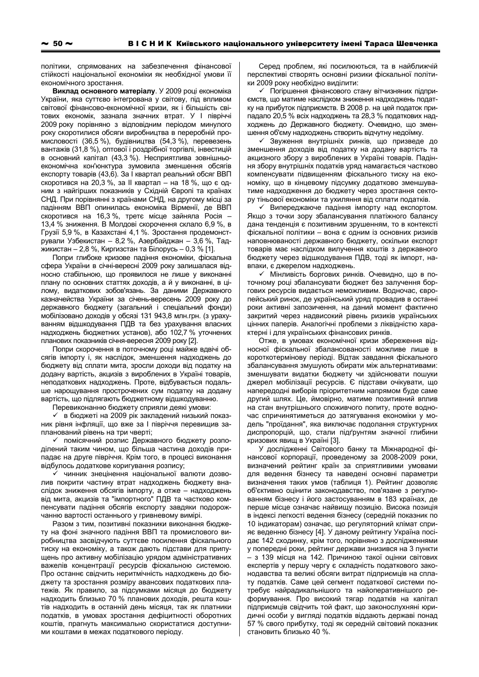політики, спрямованих на забезпечення фінансової стійкості національної економіки як необхідної умови її економічного зростання.

Виклад основного матеріалу. У 2009 році економіка України, яка суттєво інтегрована у світову, під впливом світової фінансово-економічної кризи, як і більшість світових економік, зазнала значних втрат. У І півріччі 2009 року порівняно з відповідним періодом минулого року скоротилися обсяги виробництва в переробній промисловості (36,5 %), будівництва (54,3 %), перевезень вантажів (31,8 %), оптової і роздрібної торгівлі, інвестицій в основний капітал (43,3 %). Несприятлива зовнішньоекономічна кон'юнктура зумовила зменшення обсягів експорту товарів (43,6). За І квартал реальний обсяг ВВП скоротився на 20,3 %, за II квартал - на 18 %, що є одним з найгірших показників у Східній Європі та країнах СНД. При порівнянні з країнами СНД, на другому місці за падінням ВВП опинилась економіка Вірменії, де ВВП скоротився на 16,3 %, третє місце зайняла Росія -13,4 % зниження. В Молдові скорочення склало 6,9 %, в Грузії 5,9 %, в Казахстані 4,1 %. Зростання продемонстрували Узбекистан - 8,2 %, Азербайджан - 3,6 %, Таджикистан - 2,8 %, Киргизстан та Білорусь - 0,3 % [1].

Попри глибоке кризове падіння економіки, фіскальна сфера України в січні-вересні 2009 року залишалася відносно стабільною, що проявилося не лише у виконанні плану по основних статтях доходів, а й у виконанні, в цілому, видаткових зобов'язань. За даними Державного казначейства України за січень-вересень 2009 року до державного бюджету (загальний і спеціальний фонди) мобілізовано доходів у обсязі 131 943,8 млн. грн. (з урахуванням відшкодування ПДВ та без урахування власних надходжень бюджетних установ), або 102,7 % уточнених планових показників січня-вересня 2009 року [2].

Попри скорочення в поточному році майже вдвічі обсягів імпорту і, як наслідок, зменшення надходжень до бюджету від сплати мита, зросли доходи від податку на додану вартість, акцизів з вироблених в Україні товарів, неподаткових надходжень. Проте, відбувається подальше нарошування прострочених сум податку на додану вартість, що підлягають бюджетному відшкодуванню.

Перевиконанню бюджету сприяли деякі умови:

√ в бюджеті на 2009 рік закладений низький показник рівня інфляції, що вже за I півріччя перевищив запланований рівень на три чверті;

√ помісячний розпис Державного бюджету розподілений таким чином, що більша частина доходів припадає на друге півріччя. Крім того, в процесі виконання відбулось додаткове коригування розпису;

чинник знецінення національної валюти дозволив покрити частину втрат надходжень бюджету внаслідок зниження обсягів імпорту, а отже - надходжень від мита, акцизів та "імпортного" ПДВ та частково компенсувати падіння обсягів експорту завдяки подорожчанню вартості останнього у гривневому вимірі.

Разом з тим, позитивні показники виконання бюджету на фоні значного падіння ВВП та промислового виробництва засвідчують суттєве посилення фіскального тиску на економіку, а також дають підстави для припущень про активну мобілізацію урядом адміністративних важелів концентрації ресурсів фіскальною системою. Про останнє свідчить неритмічність надходжень до бюджету та зростання розміру авансових податкових платежів. Як правило, за підсумками місяця до бюджету надходить близько 70 % планових доходів, решта коштів надходить в останній день місяця, так як платники податків, в умовах зростання дефіцитності оборотних коштів, прагнуть максимально скористатися доступними коштами в межах податкового періоду.

Серед проблем, які посилюються, та в найближчій перспективі створять основні ризики фіскальної політики 2009 року необхідно виділити:

√ Погіршення фінансового стану вітчизняних підприємств, що матиме наслідком зниження надходжень податку на прибуток підприємств. В 2008 р. на цей податок припадало 20,5 % всіх надходжень та 28,3 % податкових надходжень до Державного бюджету. Очевидно, що зменшення об'єму надходжень створить відчутну недоїмку.

√ Звуження внутрішніх ринків, що призведе до зменшення доходів від податку на додану вартість та акцизного збору з вироблених в Україні товарів. Падіння збору внутрішніх податків уряд намагається частково компенсувати підвишенням фіскального тиску на економіку, що в кінцевому підсумку додатково зменшуватиме надходження до бюджету через зростання сектору тіньової економіки та ухиляння від сплати податків.

√ Випереджаюче падіння імпорту над експортом. Якщо з точки зору збалансування платіжного балансу дана тенденція є позитивним зрушенням, то в контексті фіскальної політики - вона є одним із основних ризиків наповнюваності державного бюджету, оскільки експорт товарів має наслідком вилучення коштів з державного бюджету через відшкодування ПДВ, тоді як імпорт, навпаки, є джерелом надходжень.

√ Мінливість боргових ринків. Очевидно, що в поточному році збалансувати бюджет без залучення боргових ресурсів видається неможливим. Водночас, європейський ринок, де український уряд провадив в останні роки активні запозичення, на даний момент фактично закритий через надвисокий рівень ризиків українських цінних паперів. Аналогічні проблеми з ліквідністю характерні і для українських фінансових ринків.

Отже, в умовах економічної кризи збереження відносної фіскальної збалансованості можливе лише в короткотермінову періоді. Відтак завдання фіскального збалансування змушують обирати між альтернативами: зменшувати видатки бюджету чи здійснювати пошуки джерел мобілізації ресурсів. Є підстави очікувати, що напередодні виборів пріоритетним напрямом буде саме другий шлях. Це, ймовірно, матиме позитивний вплив на стан внутрішнього споживчого попиту, проте водночас спричинятиметься до затягування економіки у модель "проїдання", яка виключає подолання структурних диспропорцій, що, стали підґрунтям значної глибини кризових явищ в Україні [3].

У дослідженні Світового банку та Міжнародної фінансової корпорації, проведеному за 2008-2009 роки, визначений рейтинг країн за сприятливими умовами для ведення бізнесу та наведені основні параметри визначення таких умов (таблиця 1). Рейтинг дозволяє об'єктивно оцінити законодавство, пов'язане з регулюванням бізнесу і його застосуванням в 183 країнах, де перше місце означає найвищу позицію. Висока позиція в індексі легкості ведення бізнесу (середній показник по 10 індикаторам) означає, що регуляторний клімат сприяє веденню бізнесу [4]. У даному рейтингу Україна посідає 142 сходинку, крім того, порівняно з дослідженнями у попередні роки, рейтинг держави знизився на 3 пункти - з 139 місця на 142. Причиною такої оцінки світових експертів у першу чергу є складність податкового законодавства та великі обсяги витрат підприємців на сплату податків. Саме цей сегмент податкової системи потребує найрадикальнішого та найоперативнішого реформування. Про високий тягар податків на капітал підприємців свідчить той факт, що законослухняні юридичні особи у вигляді податків віддають державі понад 57 % свого прибутку, тоді як середній світовий показник становить близько 40 %.